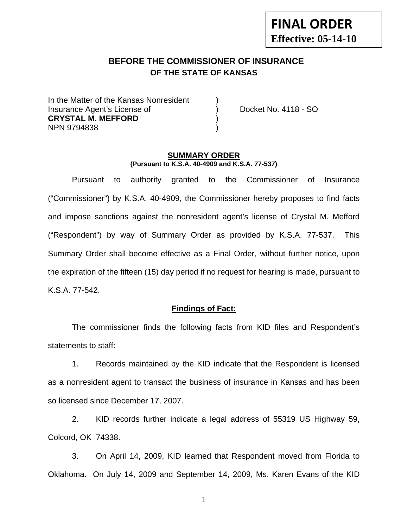# **FINAL ORDER Effective: 05-14-10**

# **BEFORE THE COMMISSIONER OF INSURANCE OF THE STATE OF KANSAS**

In the Matter of the Kansas Nonresident Insurance Agent's License of ) Docket No. 4118 - SO **CRYSTAL M. MEFFORD** ) NPN 9794838 )

#### **SUMMARY ORDER (Pursuant to K.S.A. 40-4909 and K.S.A. 77-537)**

 Pursuant to authority granted to the Commissioner of Insurance ("Commissioner") by K.S.A. 40-4909, the Commissioner hereby proposes to find facts and impose sanctions against the nonresident agent's license of Crystal M. Mefford ("Respondent") by way of Summary Order as provided by K.S.A. 77-537. This Summary Order shall become effective as a Final Order, without further notice, upon the expiration of the fifteen (15) day period if no request for hearing is made, pursuant to K.S.A. 77-542.

#### **Findings of Fact:**

 The commissioner finds the following facts from KID files and Respondent's statements to staff:

 1. Records maintained by the KID indicate that the Respondent is licensed as a nonresident agent to transact the business of insurance in Kansas and has been so licensed since December 17, 2007.

 2. KID records further indicate a legal address of 55319 US Highway 59, Colcord, OK 74338.

 3. On April 14, 2009, KID learned that Respondent moved from Florida to Oklahoma. On July 14, 2009 and September 14, 2009, Ms. Karen Evans of the KID

1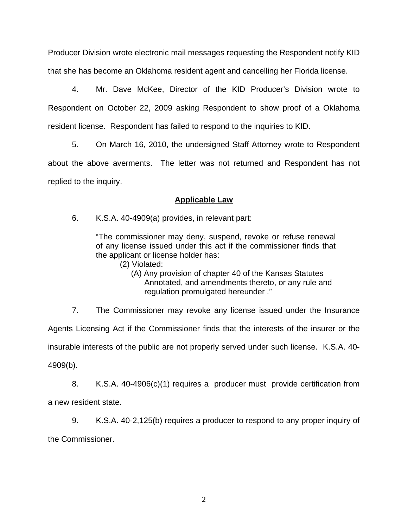Producer Division wrote electronic mail messages requesting the Respondent notify KID that she has become an Oklahoma resident agent and cancelling her Florida license.

 4. Mr. Dave McKee, Director of the KID Producer's Division wrote to Respondent on October 22, 2009 asking Respondent to show proof of a Oklahoma resident license. Respondent has failed to respond to the inquiries to KID.

 5. On March 16, 2010, the undersigned Staff Attorney wrote to Respondent about the above averments. The letter was not returned and Respondent has not replied to the inquiry.

## **Applicable Law**

6. K.S.A. 40-4909(a) provides, in relevant part:

"The commissioner may deny, suspend, revoke or refuse renewal of any license issued under this act if the commissioner finds that the applicant or license holder has:

(2) Violated:

 (A) Any provision of chapter 40 of the Kansas Statutes Annotated, and amendments thereto, or any rule and regulation promulgated hereunder ."

 7. The Commissioner may revoke any license issued under the Insurance Agents Licensing Act if the Commissioner finds that the interests of the insurer or the insurable interests of the public are not properly served under such license. K.S.A. 40- 4909(b).

 8. K.S.A. 40-4906(c)(1) requires a producer must provide certification from a new resident state.

 9. K.S.A. 40-2,125(b) requires a producer to respond to any proper inquiry of the Commissioner.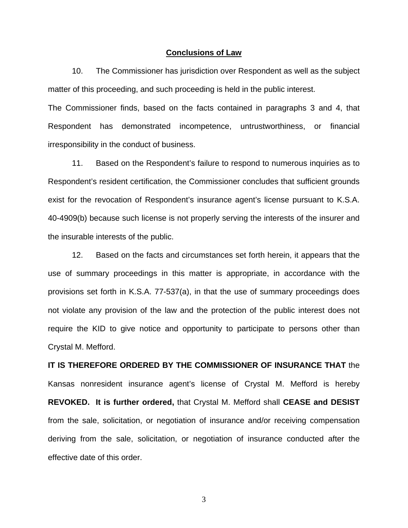#### **Conclusions of Law**

 10. The Commissioner has jurisdiction over Respondent as well as the subject matter of this proceeding, and such proceeding is held in the public interest.

The Commissioner finds, based on the facts contained in paragraphs 3 and 4, that Respondent has demonstrated incompetence, untrustworthiness, or financial irresponsibility in the conduct of business.

 11. Based on the Respondent's failure to respond to numerous inquiries as to Respondent's resident certification, the Commissioner concludes that sufficient grounds exist for the revocation of Respondent's insurance agent's license pursuant to K.S.A. 40-4909(b) because such license is not properly serving the interests of the insurer and the insurable interests of the public.

 12. Based on the facts and circumstances set forth herein, it appears that the use of summary proceedings in this matter is appropriate, in accordance with the provisions set forth in K.S.A. 77-537(a), in that the use of summary proceedings does not violate any provision of the law and the protection of the public interest does not require the KID to give notice and opportunity to participate to persons other than Crystal M. Mefford.

**IT IS THEREFORE ORDERED BY THE COMMISSIONER OF INSURANCE THAT** the Kansas nonresident insurance agent's license of Crystal M. Mefford is hereby **REVOKED. It is further ordered,** that Crystal M. Mefford shall **CEASE and DESIST** from the sale, solicitation, or negotiation of insurance and/or receiving compensation deriving from the sale, solicitation, or negotiation of insurance conducted after the effective date of this order.

3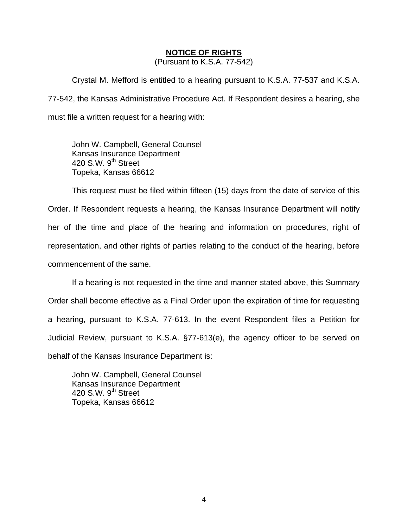### **NOTICE OF RIGHTS**

(Pursuant to K.S.A. 77-542)

Crystal M. Mefford is entitled to a hearing pursuant to K.S.A. 77-537 and K.S.A. 77-542, the Kansas Administrative Procedure Act. If Respondent desires a hearing, she must file a written request for a hearing with:

 John W. Campbell, General Counsel Kansas Insurance Department 420 S.W. 9<sup>th</sup> Street Topeka, Kansas 66612

This request must be filed within fifteen (15) days from the date of service of this Order. If Respondent requests a hearing, the Kansas Insurance Department will notify her of the time and place of the hearing and information on procedures, right of representation, and other rights of parties relating to the conduct of the hearing, before commencement of the same.

If a hearing is not requested in the time and manner stated above, this Summary Order shall become effective as a Final Order upon the expiration of time for requesting a hearing, pursuant to K.S.A. 77-613. In the event Respondent files a Petition for Judicial Review, pursuant to K.S.A. §77-613(e), the agency officer to be served on behalf of the Kansas Insurance Department is:

 John W. Campbell, General Counsel Kansas Insurance Department 420 S.W.  $9<sup>th</sup>$  Street Topeka, Kansas 66612